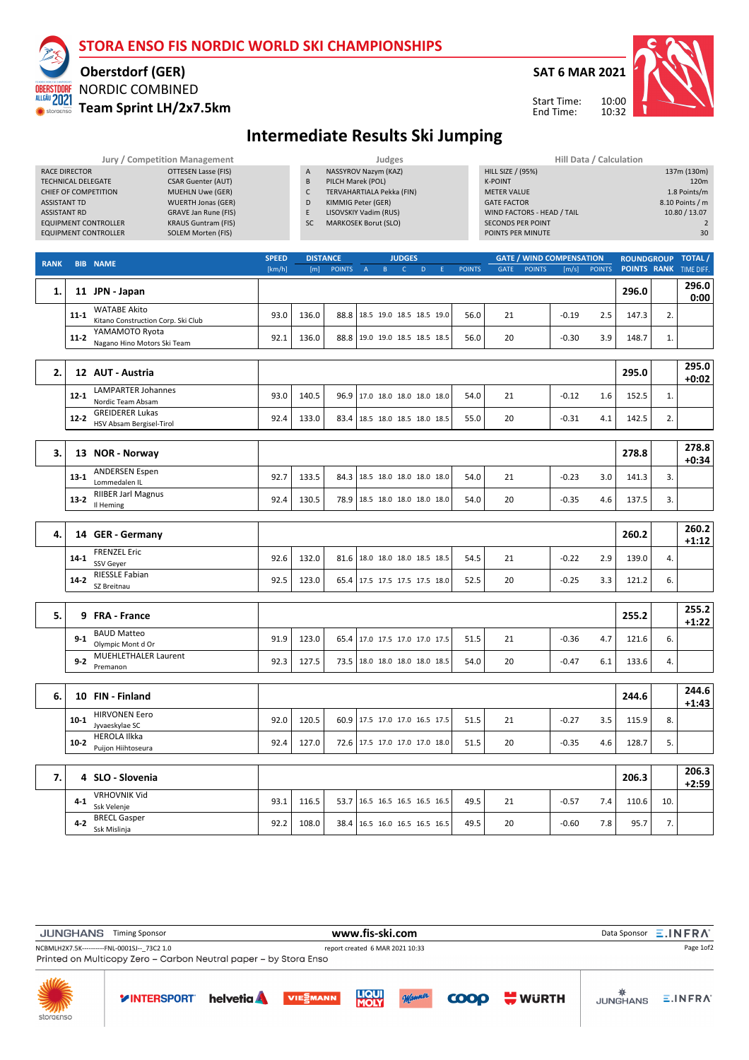# **STORA ENSO FIS NORDIC WORLD SKI CHAMPIONSHIPS**

#### **Oberstdorf (GER)** NORDIC COMBINED **OBERSTDORF** ALLGÄU 2021

storae

### **Team Sprint LH/2x7.5km**



10:00 10:32

Start Time: End Time:



### **Intermediate Results Ski Jumping**

|                             | Jury / Competition Management |                | Judges                    | Hill Data / Calculation    |
|-----------------------------|-------------------------------|----------------|---------------------------|----------------------------|
| RACE DIRECTOR               | OTTESEN Lasse (FIS)           | $\overline{A}$ | NASSYROV Nazym (KAZ)      | <b>HILL SIZE / (95%)</b>   |
| <b>TECHNICAL DELEGATE</b>   | <b>CSAR Guenter (AUT)</b>     | B              | PILCH Marek (POL)         | <b>K-POINT</b>             |
| CHIEF OF COMPETITION        | <b>MUEHLN Uwe (GER)</b>       |                | TERVAHARTIALA Pekka (FIN) | <b>METER VALUE</b>         |
| <b>ASSISTANT TD</b>         | <b>WUERTH Jonas (GER)</b>     | D              | KIMMIG Peter (GER)        | <b>GATE FACTOR</b>         |
| <b>ASSISTANT RD</b>         | <b>GRAVE Jan Rune (FIS)</b>   | E              | LISOVSKIY Vadim (RUS)     | WIND FACTORS - HEAD / TAIL |
| <b>EQUIPMENT CONTROLLER</b> | <b>KRAUS Guntram (FIS)</b>    | <b>SC</b>      | MARKOSEK Borut (SLO)      | <b>SECONDS PER POINT</b>   |
| <b>EQUIPMENT CONTROLLER</b> | SOLEM Morten (FIS)            |                |                           | POINTS PER MINUTE          |

|                            | Hill Data / Calculation |
|----------------------------|-------------------------|
| <b>HILL SIZE / (95%)</b>   | 137m (130m)             |
| <b>K-POINT</b>             | 120m                    |
| <b>METER VALUE</b>         | 1.8 Points/m            |
| <b>GATE FACTOR</b>         | 8.10 Points / m         |
| WIND FACTORS - HEAD / TAIL | 10.80 / 13.07           |
| <b>SECONDS PER POINT</b>   | $\mathcal{P}$           |
| POINTS PER MINUTE          | 30                      |
|                            |                         |

| <b>RANK</b> | <b>BIB</b> | <b>NAME</b>                                               | <b>SPEED</b> | <b>DISTANCE</b> |                                 |  | <b>JUDGES</b> |  |               |             |               | <b>GATE / WIND COMPENSATION</b> |               | ROUNDGROUP TOTAL/             |    |               |
|-------------|------------|-----------------------------------------------------------|--------------|-----------------|---------------------------------|--|---------------|--|---------------|-------------|---------------|---------------------------------|---------------|-------------------------------|----|---------------|
|             |            |                                                           | [km/h]       | [m]             | <b>POINTS</b>                   |  |               |  | <b>POINTS</b> | <b>GATE</b> | <b>POINTS</b> | [m/s]                           | <b>POINTS</b> | <b>POINTS RANK TIME DIFF.</b> |    |               |
|             |            | JPN - Japan                                               |              |                 |                                 |  |               |  |               |             |               |                                 |               | 296.0                         |    | 296.0<br>0:00 |
|             | $11 - 1$   | <b>WATABE Akito</b><br>Kitano Construction Corp. Ski Club | 93.0         | 136.0           | 88.8   18.5 19.0 18.5 18.5 19.0 |  |               |  | 56.0          | 21          |               | $-0.19$                         | 2.5           | 147.3                         | z. |               |
|             | $11 - 2$   | YAMAMOTO Ryota<br>Nagano Hino Motors Ski Team             | 92.1         | 136.0           | 88.8 19.0 19.0 18.5 18.5 18.5   |  |               |  | 56.0          | 20          |               | $-0.30$                         | 3.9           | 148.7                         | 1. |               |
|             |            |                                                           |              |                 |                                 |  |               |  |               |             |               |                                 |               |                               |    |               |

| 12       | AUT - Austria                                      |      |       |                               |      |    |                       | 295.0 |    | 295.0<br>$+0:02$ |
|----------|----------------------------------------------------|------|-------|-------------------------------|------|----|-----------------------|-------|----|------------------|
| 12-1     | LAMPARTER Johannes<br>Nordic Team Absam            | 93.0 | 140.5 | 96.9 17.0 18.0 18.0 18.0 18.0 | 54.0 | 21 | $-0.12$<br><b>1.6</b> | 152.5 | ٠. |                  |
| $12 - 2$ | <b>GREIDERER Lukas</b><br>HSV Absam Bergisel-Tirol | 92.4 | 133.0 | 83.4 18.5 18.0 18.5 18.0 18.5 | 55.0 | 20 | $-0.31$<br>4.1        | 142.5 |    |                  |

| NOR - Norway<br>13                               |      |       |                               |      |    |                | 278.8 |    | 278.8<br>$+0:34$ |
|--------------------------------------------------|------|-------|-------------------------------|------|----|----------------|-------|----|------------------|
| <b>ANDERSEN Espen</b><br>$13-1$<br>Lommedalen IL | 92.7 | 133.5 | 84.3 18.5 18.0 18.0 18.0 18.0 | 54.0 | 21 | $-0.23$<br>3.0 | 141.3 |    |                  |
| <b>RIIBER Jarl Magnus</b><br>$13-2$<br>Il Heming | 92.4 | 130.5 | 78.9 18.5 18.0 18.0 18.0 18.0 | 54.0 | 20 | $-0.35$<br>4.6 | 137.5 | J. |                  |

| 4. | <b>GER - Germany</b><br>14               |      |       |                               |      |    |                             | 260.2 |    | 260.2<br>$+1:12$ |
|----|------------------------------------------|------|-------|-------------------------------|------|----|-----------------------------|-------|----|------------------|
|    | <b>FRENZEL Eric</b><br>14-1<br>SSV Gever | 92.6 | 132.0 | 81.6 38.0 18.0 18.0 18.5 18.5 | 54.5 | 21 | $-0.22$<br>2.9 <sub>1</sub> | 139.0 | 4. |                  |
|    | RIESSLE Fabian<br>$14-2$<br>SZ Breitnau  | 92.5 | 123.0 | 65.4 17.5 17.5 17.5 17.5 18.0 | 52.5 | 20 | $-0.25$<br>3.3              | 121.2 | ь. |                  |

| 5. | 9 FRA - France                                   |      |       |  |                               |      |    |         |     | 255.2 |    | 255.2<br>$+1:22$ |
|----|--------------------------------------------------|------|-------|--|-------------------------------|------|----|---------|-----|-------|----|------------------|
|    | <b>BAUD Matteo</b><br>$9-1$<br>Olympic Mont d Or | 91.9 | 123.0 |  | 65.4 17.0 17.5 17.0 17.0 17.5 | 51.5 | 21 | $-0.36$ | 4.7 | 121.6 | ь. |                  |
|    | <b>MUEHLETHALER Laurent</b><br>$9-2$<br>Premanon | 92.3 | 127.5 |  | 73.5 18.0 18.0 18.0 18.0 18.5 | 54.0 | 20 | $-0.47$ | 6.1 | 133.6 | 4. |                  |
|    |                                                  |      |       |  |                               |      |    |         |     |       |    | -----            |

| ь. | FIN - Finland<br>10                                 |      |                    |                               |      |    |         |     | 244.6 |    | <b>244.0</b><br>$+1:43$ |
|----|-----------------------------------------------------|------|--------------------|-------------------------------|------|----|---------|-----|-------|----|-------------------------|
|    | <b>HIRVONEN Eero</b><br>$10-1$<br>Jyvaeskylae SC    | 92.0 | 120.5 <sub>1</sub> | 60.9 17.5 17.0 17.0 16.5 17.5 | 51.5 | 21 | $-0.27$ | 3.5 | 115.9 | 8. |                         |
|    | <b>HEROLA Ilkka</b><br>$10-2$<br>Puijon Hiihtoseura | 92.4 | 127.0              | 72.6 17.5 17.0 17.0 17.0 18.0 | 51.5 | 20 | $-0.35$ | 4.6 | 128.7 |    |                         |

| 4 SLO - Slovenia                               |      |       |                               |  |      |    |         |                  | 206.3 |     | 206.3<br>$+2:59$ |
|------------------------------------------------|------|-------|-------------------------------|--|------|----|---------|------------------|-------|-----|------------------|
| <b>VRHOVNIK Vid</b><br>4-1<br>Ssk Velenie      | 93.1 | 116.5 | 53.7 16.5 16.5 16.5 16.5 16.5 |  | 49.5 | 21 | $-0.57$ | 7.4              | 110.6 | 10. |                  |
| <b>BRECL Gasper</b><br>$4 - 2$<br>Ssk Mislinia | 92.2 | 108.0 | 38.4 16.5 16.0 16.5 16.5 16.5 |  | 49.5 | 20 | $-0.60$ | 7.8 <sub>1</sub> | 95.7  |     |                  |

| <b>JUNGHANS</b>                             | <b>Timing Sponsor</b>                                            |                 | www.fis-ski.com                 |        |                   | Data Sponsor $\overline{=}$ . INFRA <sup>®</sup> |
|---------------------------------------------|------------------------------------------------------------------|-----------------|---------------------------------|--------|-------------------|--------------------------------------------------|
| NCBMLH2X7.5K----------FNL-0001SJ-- 73C2 1.0 | Printed on Multicopy Zero - Carbon Neutral paper - by Stora Enso |                 | report created 6 MAR 2021 10:33 |        |                   | Page 1of2                                        |
| <b>NAMES</b><br>storaenso                   | <b>YINTERSPORT</b> helvetia                                      | <b>VIESMANN</b> | <b>LIQUI</b><br>MOLY            | Manner | <b>COOP</b> WURTH | $E$ . IN FRAT                                    |